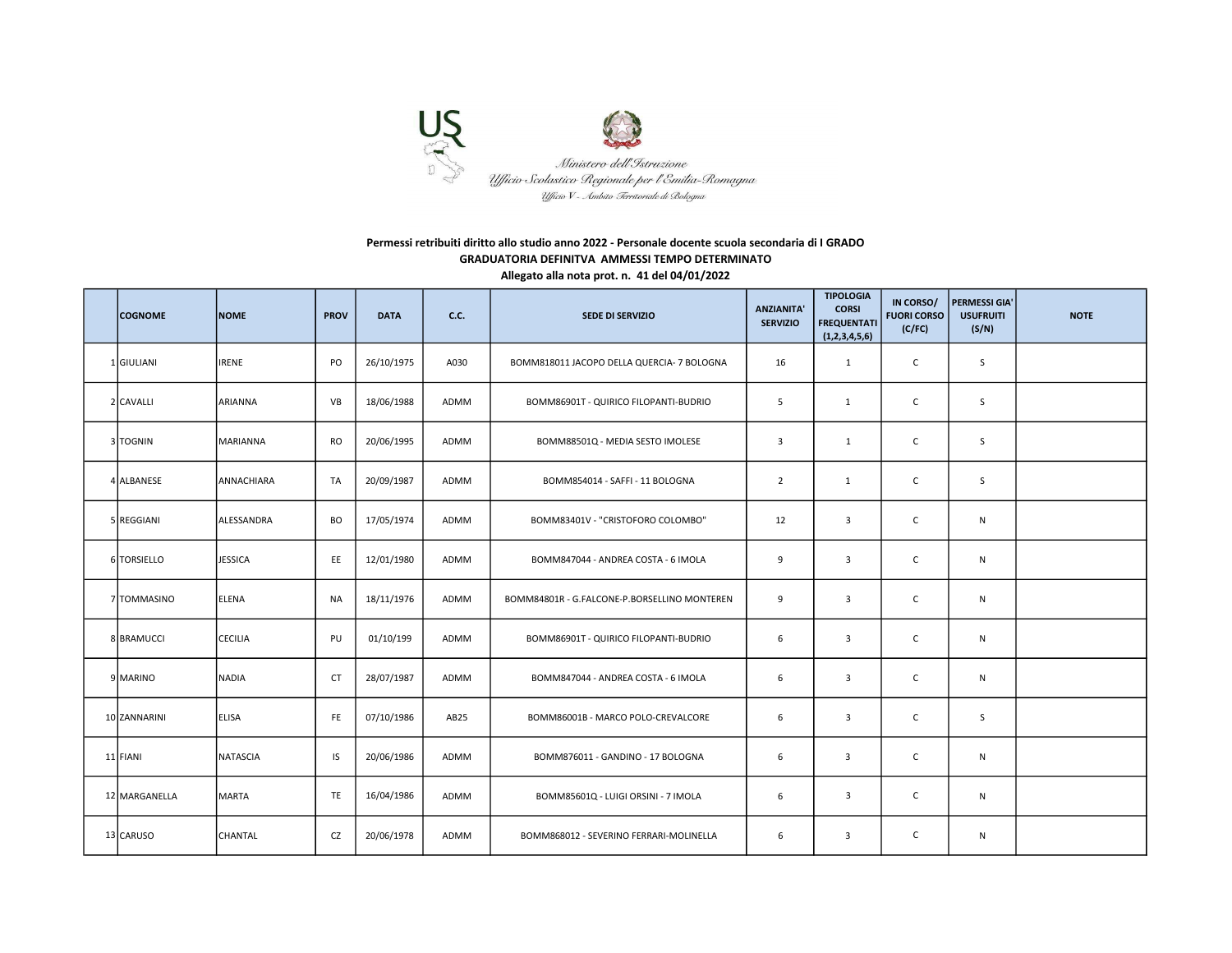

## Permessi retribuiti diritto allo studio anno 2022 - Personale docente scuola secondaria di I GRADO GRADUATORIA DEFINITVA AMMESSI TEMPO DETERMINATO Allegato alla nota prot. n. 41 del 04/01/2022

| <b>COGNOME</b> | <b>NOME</b>     | <b>PROV</b> | <b>DATA</b> | <b>C.C.</b>      | <b>SEDE DI SERVIZIO</b>                      | <b>ANZIANITA'</b><br><b>SERVIZIO</b> | <b>TIPOLOGIA</b><br><b>CORSI</b><br><b>FREQUENTATI</b><br>(1,2,3,4,5,6) | IN CORSO/<br><b>FUORI CORSO</b><br>(C/FC) | PERMESSI GIA'<br><b>USUFRUITI</b><br>(S/N) | <b>NOTE</b> |
|----------------|-----------------|-------------|-------------|------------------|----------------------------------------------|--------------------------------------|-------------------------------------------------------------------------|-------------------------------------------|--------------------------------------------|-------------|
| 1 GIULIANI     | <b>IRENE</b>    | PO          | 26/10/1975  | A030             | BOMM818011 JACOPO DELLA QUERCIA- 7 BOLOGNA   | 16                                   | $\mathbf{1}$                                                            | $\mathsf{C}$                              | S                                          |             |
| 2 CAVALLI      | ARIANNA         | VB          | 18/06/1988  | ADMM             | BOMM86901T - QUIRICO FILOPANTI-BUDRIO        | 5                                    | $\mathbf{1}$                                                            | $\mathsf{C}$                              | S                                          |             |
| 3 TOGNIN       | <b>MARIANNA</b> | <b>RO</b>   | 20/06/1995  | ADMM             | BOMM88501Q - MEDIA SESTO IMOLESE             | 3                                    | 1                                                                       | $\mathsf{C}$                              | S                                          |             |
| 4 ALBANESE     | ANNACHIARA      | TA          | 20/09/1987  | ADMM             | BOMM854014 - SAFFI - 11 BOLOGNA              | $\overline{2}$                       | $\mathbf{1}$                                                            | $\mathsf{C}$                              | S                                          |             |
| 5 REGGIANI     | ALESSANDRA      | BO          | 17/05/1974  | ADMM             | BOMM83401V - "CRISTOFORO COLOMBO"            | 12                                   | $\overline{\mathbf{3}}$                                                 | $\mathsf{C}$                              | $\mathsf{N}$                               |             |
| 6 TORSIELLO    | <b>JESSICA</b>  | EE          | 12/01/1980  | ADMM             | BOMM847044 - ANDREA COSTA - 6 IMOLA          | 9                                    | $\overline{3}$                                                          | $\mathsf{C}$                              | $\mathsf{N}$                               |             |
| 7 TOMMASINO    | ELENA           | NA          | 18/11/1976  | ADMM             | BOMM84801R - G.FALCONE-P.BORSELLINO MONTEREN | 9                                    | $\overline{3}$                                                          | $\mathsf{C}$                              | ${\sf N}$                                  |             |
| 8 BRAMUCCI     | <b>CECILIA</b>  | PU          | 01/10/199   | ADMM             | BOMM86901T - QUIRICO FILOPANTI-BUDRIO        | 6                                    | $\overline{3}$                                                          | $\mathsf{C}$                              | ${\sf N}$                                  |             |
| 9 MARINO       | <b>NADIA</b>    | <b>CT</b>   | 28/07/1987  | ADMM             | BOMM847044 - ANDREA COSTA - 6 IMOLA          | 6                                    | $\overline{3}$                                                          | $\mathsf{C}$                              | $\mathsf{N}$                               |             |
| 10 ZANNARINI   | <b>ELISA</b>    | FE          | 07/10/1986  | AB <sub>25</sub> | BOMM86001B - MARCO POLO-CREVALCORE           | 6                                    | 3                                                                       | $\mathsf{C}$                              | S                                          |             |
| 11 FIANI       | NATASCIA        | IS          | 20/06/1986  | ADMM             | BOMM876011 - GANDINO - 17 BOLOGNA            | 6                                    | 3                                                                       | $\mathsf{C}$                              | ${\sf N}$                                  |             |
| 12 MARGANELLA  | MARTA           | TE          | 16/04/1986  | ADMM             | BOMM85601Q - LUIGI ORSINI - 7 IMOLA          | 6                                    | $\overline{3}$                                                          | $\mathsf{C}$                              | N                                          |             |
| 13 CARUSO      | CHANTAL         | CZ          | 20/06/1978  | ADMM             | BOMM868012 - SEVERINO FERRARI-MOLINELLA      | 6                                    | $\overline{3}$                                                          | $\mathsf{C}$                              | N                                          |             |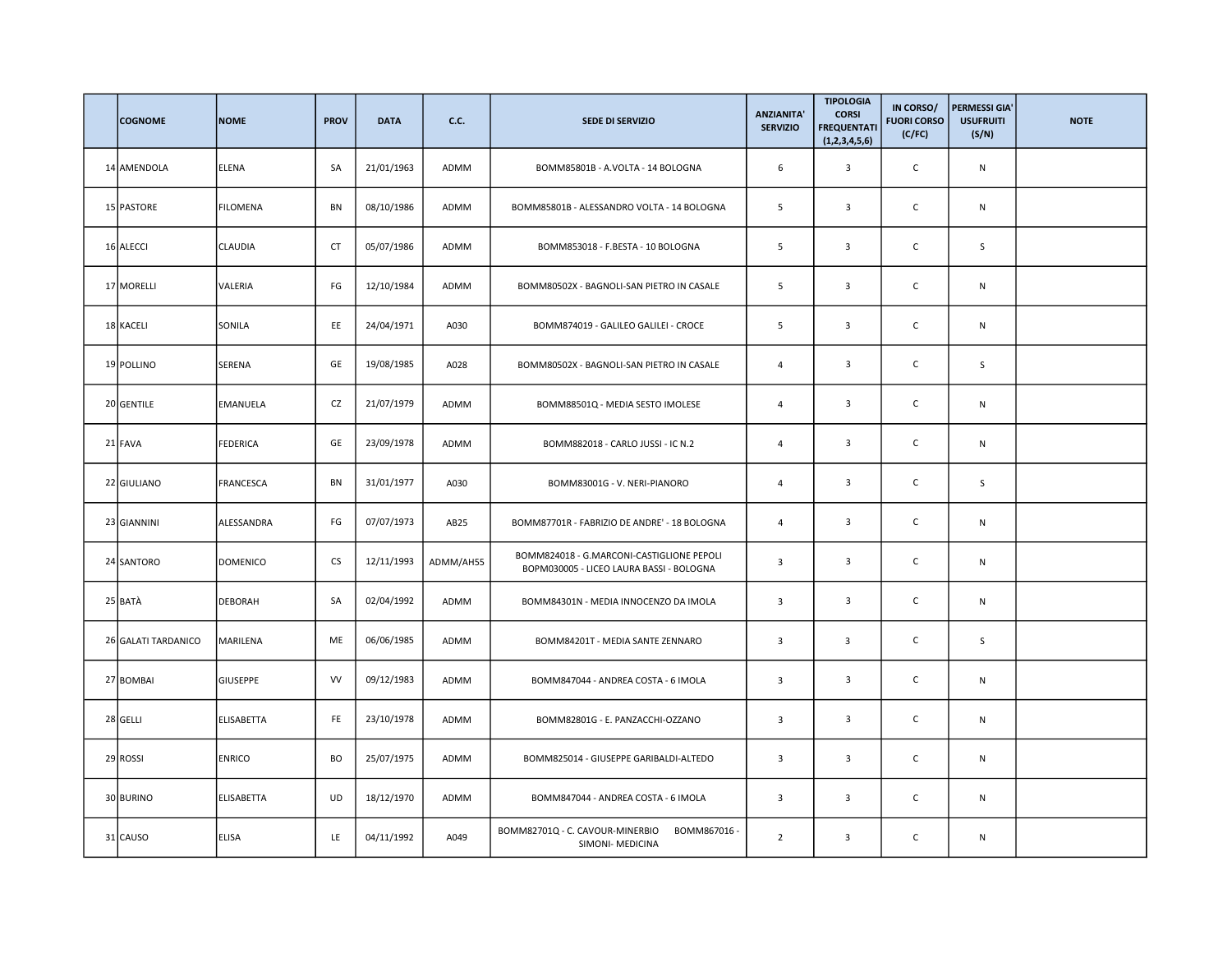| <b>COGNOME</b>      | <b>NOME</b>       | <b>PROV</b> | <b>DATA</b> | <b>C.C.</b>      | <b>SEDE DI SERVIZIO</b>                                                               | <b>ANZIANITA'</b><br><b>SERVIZIO</b> | <b>TIPOLOGIA</b><br><b>CORSI</b><br><b>FREQUENTATI</b><br>(1,2,3,4,5,6) | IN CORSO/<br><b>FUORI CORSO</b><br>(C/FC) | <b>PERMESSI GIA'</b><br><b>USUFRUITI</b><br>(S/N) | <b>NOTE</b> |
|---------------------|-------------------|-------------|-------------|------------------|---------------------------------------------------------------------------------------|--------------------------------------|-------------------------------------------------------------------------|-------------------------------------------|---------------------------------------------------|-------------|
| 14 AMENDOLA         | ELENA             | SA          | 21/01/1963  | ADMM             | BOMM85801B - A.VOLTA - 14 BOLOGNA                                                     | 6                                    | $\overline{3}$                                                          | $\mathsf C$                               | N                                                 |             |
| 15 PASTORE          | <b>FILOMENA</b>   | BN          | 08/10/1986  | ADMM             | BOMM85801B - ALESSANDRO VOLTA - 14 BOLOGNA                                            | 5                                    | 3                                                                       | $\mathsf C$                               | N                                                 |             |
| 16 ALECCI           | CLAUDIA           | <b>CT</b>   | 05/07/1986  | ADMM             | BOMM853018 - F.BESTA - 10 BOLOGNA                                                     | 5                                    | $\overline{3}$                                                          | $\mathsf C$                               | S                                                 |             |
| 17 MORELLI          | VALERIA           | FG          | 12/10/1984  | ADMM             | BOMM80502X - BAGNOLI-SAN PIETRO IN CASALE                                             | 5                                    | $\mathbf{3}$                                                            | $\mathsf{C}$                              | ${\sf N}$                                         |             |
| 18 KACELI           | SONILA            | EE          | 24/04/1971  | A030             | BOMM874019 - GALILEO GALILEI - CROCE                                                  | 5                                    | 3                                                                       | $\mathsf C$                               | ${\sf N}$                                         |             |
| 19 POLLINO          | SERENA            | GE          | 19/08/1985  | A028             | BOMM80502X - BAGNOLI-SAN PIETRO IN CASALE                                             | $\overline{4}$                       | 3                                                                       | $\mathsf{C}$                              | S                                                 |             |
| 20 GENTILE          | EMANUELA          | CZ          | 21/07/1979  | ADMM             | BOMM88501Q - MEDIA SESTO IMOLESE                                                      | $\overline{4}$                       | 3                                                                       | C                                         | ${\sf N}$                                         |             |
| 21 FAVA             | FEDERICA          | GE          | 23/09/1978  | ADMM             | BOMM882018 - CARLO JUSSI - IC N.2                                                     | $\overline{4}$                       | 3                                                                       | C                                         | N                                                 |             |
| 22 GIULIANO         | FRANCESCA         | BN          | 31/01/1977  | A030             | BOMM83001G - V. NERI-PIANORO                                                          | 4                                    | $\overline{3}$                                                          | $\mathsf C$                               | S                                                 |             |
| 23 GIANNINI         | ALESSANDRA        | FG          | 07/07/1973  | AB <sub>25</sub> | BOMM87701R - FABRIZIO DE ANDRE' - 18 BOLOGNA                                          | $\overline{4}$                       | 3                                                                       | $\mathsf C$                               | ${\sf N}$                                         |             |
| 24 SANTORO          | <b>DOMENICO</b>   | <b>CS</b>   | 12/11/1993  | ADMM/AH55        | BOMM824018 - G.MARCONI-CASTIGLIONE PEPOLI<br>BOPM030005 - LICEO LAURA BASSI - BOLOGNA | 3                                    | $\overline{3}$                                                          | $\mathsf C$                               | N                                                 |             |
| 25 BATÀ             | DEBORAH           | SA          | 02/04/1992  | ADMM             | BOMM84301N - MEDIA INNOCENZO DA IMOLA                                                 | 3                                    | $\overline{3}$                                                          | C                                         | ${\sf N}$                                         |             |
| 26 GALATI TARDANICO | MARILENA          | ME          | 06/06/1985  | ADMM             | BOMM84201T - MEDIA SANTE ZENNARO                                                      | 3                                    | 3                                                                       | C                                         | S                                                 |             |
| 27 BOMBAI           | <b>GIUSEPPE</b>   | VV          | 09/12/1983  | ADMM             | BOMM847044 - ANDREA COSTA - 6 IMOLA                                                   | 3                                    | 3                                                                       | C                                         | N                                                 |             |
| 28 GELLI            | ELISABETTA        | FE          | 23/10/1978  | ADMM             | BOMM82801G - E. PANZACCHI-OZZANO                                                      | $\overline{\mathbf{3}}$              | 3                                                                       | $\mathsf C$                               | ${\sf N}$                                         |             |
| 29 ROSSI            | <b>ENRICO</b>     | <b>BO</b>   | 25/07/1975  | ADMM             | BOMM825014 - GIUSEPPE GARIBALDI-ALTEDO                                                | 3                                    | 3                                                                       | $\mathsf{C}$                              | ${\sf N}$                                         |             |
| 30 BURINO           | <b>ELISABETTA</b> | <b>UD</b>   | 18/12/1970  | ADMM             | BOMM847044 - ANDREA COSTA - 6 IMOLA                                                   | 3                                    | $\overline{3}$                                                          | $\mathsf C$                               | $\mathsf{N}$                                      |             |
| 31 CAUSO            | <b>ELISA</b>      | LE          | 04/11/1992  | A049             | BOMM82701Q - C. CAVOUR-MINERBIO<br>BOMM867016 -<br>SIMONI- MEDICINA                   | $\overline{2}$                       | $\overline{3}$                                                          | C                                         | N                                                 |             |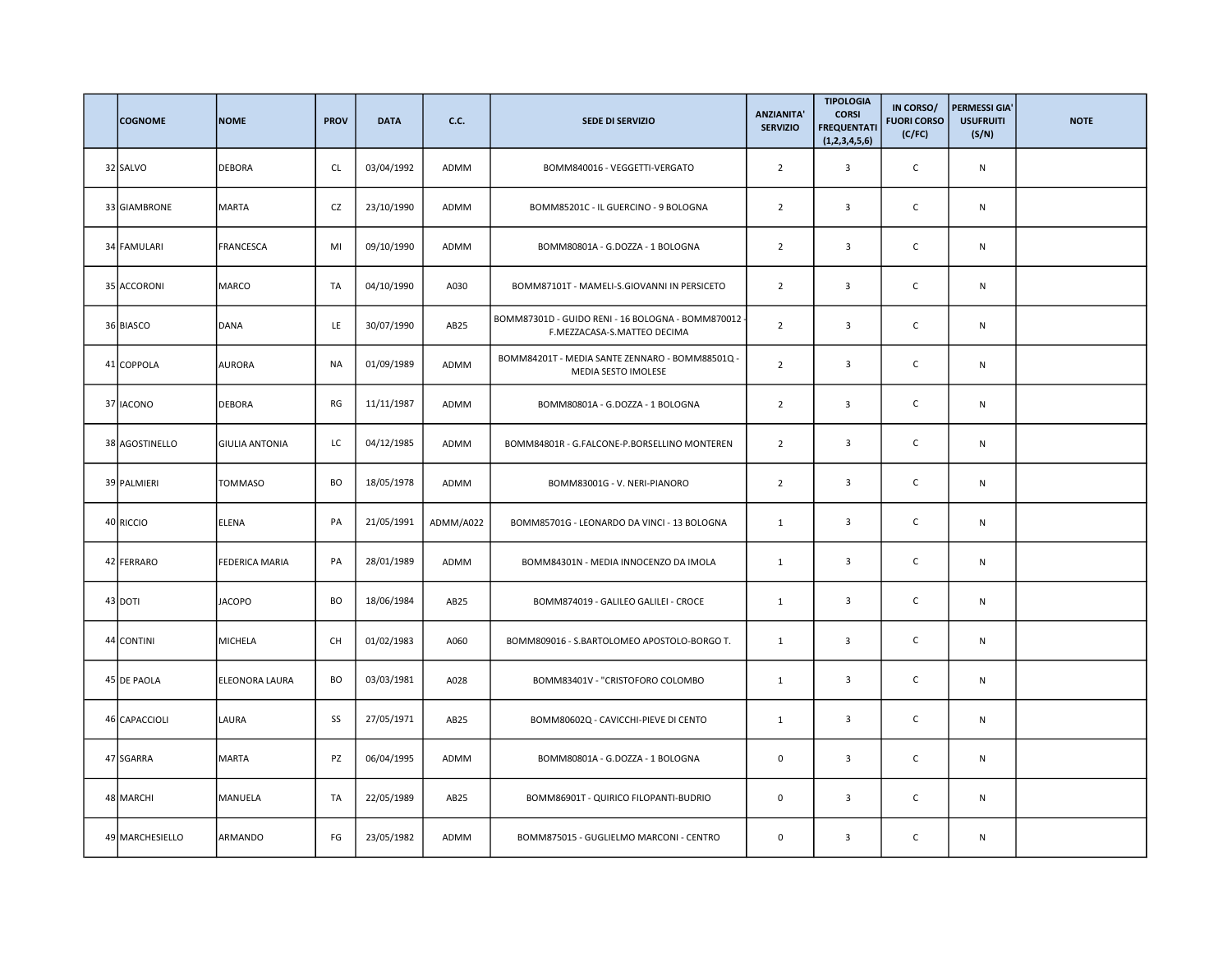| <b>COGNOME</b>  | <b>NOME</b>           | <b>PROV</b> | <b>DATA</b> | <b>C.C.</b>      | <b>SEDE DI SERVIZIO</b>                                                          | <b>ANZIANITA'</b><br><b>SERVIZIO</b> | <b>TIPOLOGIA</b><br><b>CORSI</b><br><b>FREQUENTATI</b><br>(1,2,3,4,5,6) | IN CORSO/<br><b>FUORI CORSO</b><br>(C/FC) | <b>PERMESSI GIA'</b><br><b>USUFRUITI</b><br>(S/N) | <b>NOTE</b> |
|-----------------|-----------------------|-------------|-------------|------------------|----------------------------------------------------------------------------------|--------------------------------------|-------------------------------------------------------------------------|-------------------------------------------|---------------------------------------------------|-------------|
| 32 SALVO        | <b>DEBORA</b>         | <b>CL</b>   | 03/04/1992  | ADMM             | BOMM840016 - VEGGETTI-VERGATO                                                    | $\overline{2}$                       | 3                                                                       | $\mathsf C$                               | N                                                 |             |
| 33 GIAMBRONE    | MARTA                 | CZ          | 23/10/1990  | ADMM             | BOMM85201C - IL GUERCINO - 9 BOLOGNA                                             | $\overline{2}$                       | 3                                                                       | $\mathsf C$                               | N                                                 |             |
| 34 FAMULARI     | FRANCESCA             | MI          | 09/10/1990  | ADMM             | BOMM80801A - G.DOZZA - 1 BOLOGNA                                                 | $\overline{2}$                       | 3                                                                       | $\mathsf C$                               | N                                                 |             |
| 35 ACCORONI     | MARCO                 | TA          | 04/10/1990  | A030             | BOMM87101T - MAMELI-S.GIOVANNI IN PERSICETO                                      | $\overline{2}$                       | $\overline{\mathbf{3}}$                                                 | $\mathsf C$                               | ${\sf N}$                                         |             |
| 36 BIASCO       | DANA                  | LE          | 30/07/1990  | AB <sub>25</sub> | BOMM87301D - GUIDO RENI - 16 BOLOGNA - BOMM870012<br>F.MEZZACASA-S.MATTEO DECIMA | $\overline{2}$                       | 3                                                                       | $\mathsf C$                               | ${\sf N}$                                         |             |
| 41 COPPOLA      | <b>AURORA</b>         | <b>NA</b>   | 01/09/1989  | ADMM             | BOMM84201T - MEDIA SANTE ZENNARO - BOMM88501Q -<br>MEDIA SESTO IMOLESE           | $\overline{2}$                       | $\overline{3}$                                                          | $\mathsf{C}$                              | $\mathsf{N}$                                      |             |
| 37 IACONO       | <b>DEBORA</b>         | RG          | 11/11/1987  | ADMM             | BOMM80801A - G.DOZZA - 1 BOLOGNA                                                 | $\overline{2}$                       | 3                                                                       | C                                         | N                                                 |             |
| 38 AGOSTINELLO  | <b>GIULIA ANTONIA</b> | LC          | 04/12/1985  | ADMM             | BOMM84801R - G.FALCONE-P.BORSELLINO MONTEREN                                     | $\overline{2}$                       | 3                                                                       | C                                         | N                                                 |             |
| 39 PALMIERI     | TOMMASO               | BO          | 18/05/1978  | ADMM             | BOMM83001G - V. NERI-PIANORO                                                     | $\overline{2}$                       | $\overline{3}$                                                          | C                                         | N                                                 |             |
| 40 RICCIO       | ELENA                 | PA          | 21/05/1991  | ADMM/A022        | BOMM85701G - LEONARDO DA VINCI - 13 BOLOGNA                                      | $\mathbf{1}$                         | 3                                                                       | $\mathsf C$                               | ${\sf N}$                                         |             |
| 42 FERRARO      | FEDERICA MARIA        | PA          | 28/01/1989  | ADMM             | BOMM84301N - MEDIA INNOCENZO DA IMOLA                                            | $\mathbf{1}$                         | $\overline{3}$                                                          | $\mathsf C$                               | N                                                 |             |
| 43 DOTI         | <b>JACOPO</b>         | <b>BO</b>   | 18/06/1984  | AB <sub>25</sub> | BOMM874019 - GALILEO GALILEI - CROCE                                             | $\mathbf{1}$                         | 3                                                                       | $\mathsf C$                               | ${\sf N}$                                         |             |
| 44 CONTINI      | MICHELA               | CH          | 01/02/1983  | A060             | BOMM809016 - S.BARTOLOMEO APOSTOLO-BORGO T.                                      | $\mathbf{1}$                         | 3                                                                       | $\mathsf C$                               | N                                                 |             |
| 45 DE PAOLA     | ELEONORA LAURA        | BO          | 03/03/1981  | A028             | BOMM83401V - "CRISTOFORO COLOMBO                                                 | $\mathbf{1}$                         | 3                                                                       | C                                         | N                                                 |             |
| 46 CAPACCIOLI   | LAURA                 | SS          | 27/05/1971  | AB <sub>25</sub> | BOMM80602Q - CAVICCHI-PIEVE DI CENTO                                             | $\mathbf{1}$                         | 3                                                                       | $\mathsf C$                               | ${\sf N}$                                         |             |
| 47 SGARRA       | <b>MARTA</b>          | PZ          | 06/04/1995  | ADMM             | BOMM80801A - G.DOZZA - 1 BOLOGNA                                                 | $\mathbf 0$                          | 3                                                                       | С                                         | ${\sf N}$                                         |             |
| 48 MARCHI       | MANUELA               | TA          | 22/05/1989  | AB <sub>25</sub> | BOMM86901T - QUIRICO FILOPANTI-BUDRIO                                            | $\mathsf 0$                          | 3                                                                       | $\mathsf C$                               | $\mathsf{N}$                                      |             |
| 49 MARCHESIELLO | ARMANDO               | FG          | 23/05/1982  | ADMM             | BOMM875015 - GUGLIELMO MARCONI - CENTRO                                          | 0                                    | $\overline{3}$                                                          | C                                         | N                                                 |             |